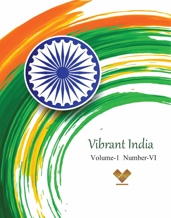

# Vibrant India

### Volume-1 Number-VI





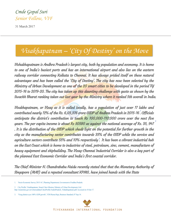

*Visakhapatnam – 'City Of Destiny' on the Move*

31 March 2017



Vishakhapatnam is Andhra Pradesh's largest city, both by population and economy. It is home to one of India's busiest ports and has an international airport and also lies on the eastern railway corridor connecting Kolkata to Chennai. It has always prided itself on these natural advantages and has been called the 'City of Destiny'. The city has now been selected by the Ministry of Urban Development as one of the 20 smart cities to be developed in the period FU 2015-16 to 2019-20. The city has taken up this daunting challenge with gusto as shown by the Swachh Bharat ranking taken out last year by the Ministry where it ranked 5th overall in India.

2. City Profile: Visakhapatnam. Smart Cities Mission, Ministry of Urban Development, GoI. http://smartcities.gov.in/writereaddata/CitiesProfile/AndraPradesh\_Vishakhapatnam.pdf. Accessed on 10 Jan 17.

Visakhapatnam, or Vizag as it is called locally, has a population of just over 17 lakhs and contributed nearly 12% of the Rs. 6,03,376 crore GSDP of Andhra Pradesh in 2015-16 . Officials anticipate the district's contribution to touch Rs 100,000-110,000 crore over the next five years. The per capita income is about Rs 50580 as against the national average of Rs. 35, 947 . It is the distribution of the GSDP which sheds light on the potential for further growth in the city as the manufacturing sector contributes towards 35% of the GSDP while the service and agriculture sectors contribute 55% and 10% respectively? It has been a vibrant industrial hub on the East Coast which is home to industries of steel, petroleum, zinc, cement, manufacture of heavy equipment and shipbuilding. The Vizag-Chennai Industrial Corridor is also a key part of the planned East Economic Corridor and India's first coastal corridor. 1 2

The Chief Minister N. Chandrababu Naidu recently stated that that the Monetary Authority of Singapore (MAS) and a reputed consultant KPMG, have joined hands with the State

1. 'Socio-Economic Survey 2015-16', Planning Department, Government of Andhra Pradesh.

3. 'Vizag district eyes 100% GDP growth', VDS Rama Raju, Business Standard, 07 Sep 14.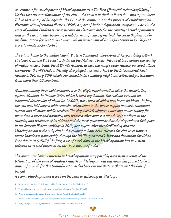Vivekananda international foundation

The city is home to the Indian Navy's Eastern Command whose Area of Responsibility (AOR) stretches from the East coast of India till the Malacca Straits. The naval base houses the sea leg of India's nuclear triad, the SSBN INS Arihant, as also the navy's other nuclear powered attack submarine, the INS Chakra. The city also played a gracious host to the International Fleet Review in February 2016 which showcased India's military might and witnessed participation from more than 50 countries.

government for development of Visakhapatnam as a Fin Tech (financial technology)Valley . Healso said the transformation of the city – the largest in Andhra Pradesh – into a prominent IT hub was on top of his agenda. The Central Government is in the process of establishing an Electronic Manufacturing Clusters (EMC) as part of India's digitisation campaign, wherein the state of Andhra Pradesh is set to become an electronic hub for the country'. Visakhapatnam is well on the way to also becoming a hub for manufacturing medical devices with plans under implementation for 200 to 300 units with an investment of Rs. 25,000 crore to Rs. 30,000 crore to create 25,000 jobs . 4 5 6

Notwithstanding these achievements, it is the city's transformation after the devastating cyclone Hudhud, in October 2014, which is most captivating. The cyclone wrought an estimated destruction of about Rs. 22,000 crore, most of which was borne by Vizag . In fact, the city was laid barren with extensive destruction to the power supply network, sanitation system and all major public services. The city was left without water and power supply for more than a week and normalcy was restored after almost a month. It is a tribute to the sagacity and resilience of its citizens and the local government that the city claimed fifth place in the Swachh Bharat rankings in 2016, just a year after this debilitating disaster. Visakhapatnam is the only city in the country to have been selected for city-level support under knowledge partnership through the USAID-sponsored Water and Sanitation for Urban Poor Advisory (WSUP) . In fact, a lot of work done in the Visakhapatnam has now been referred to as lead practices by the Government of India. 7 8

The dynamism being witnessed in Visakhapatnam may possibly have been a result of the bifurcation of the state of Andhra Pradesh and Telengana but this event has proved to be a driver of growth for this beautiful city nestled between the Eastern Ghats and the Bay of Bengal.

It seems Visakhapatnam is well on the path to achieving its 'Destiny'.

- 4. 'Keen on developing city as FinTech Valley: Naidu'. Special Correspondent, The Hindu, 10 Jan 17.
- 5. 'Centre will set up three more electronic clusters in State', Santosh Patnaik, The Hindu, 10 Jan 17.
- 6. 'Vizag to emerge as hub for medical devices: Naidu', Santosh Patnaik, The Hindu, 20 Aug 16.
- 7. 'Cyclone Hudhud caused Rs 21,908 crore loss, agriculture sector worst hit: Andhra government'. The DNA,19 Dec 2014.
- 8. 'Vizag Emerges As Model City in Sanitation', G.V. PrasadaSarma, The Hindu, 23 Dec 16.